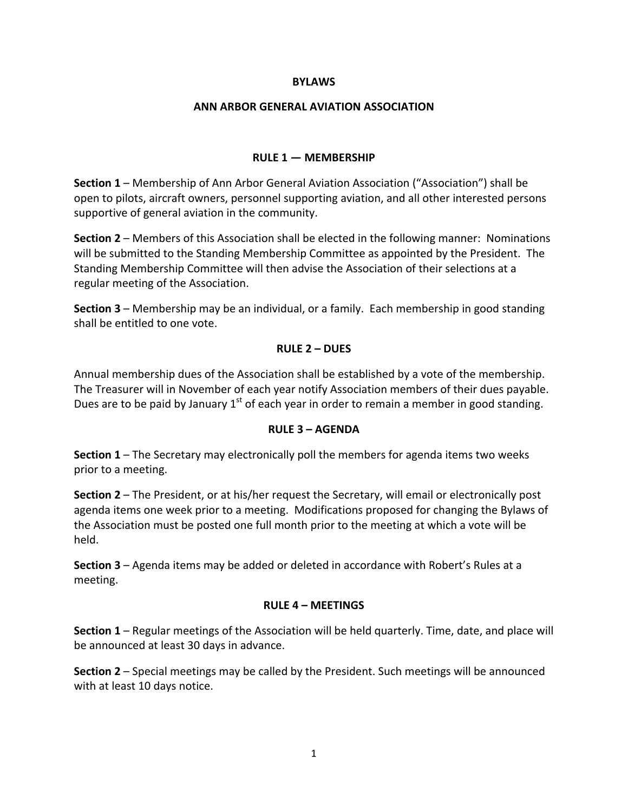#### **BYLAWS**

#### **ANN ARBOR GENERAL AVIATION ASSOCIATION**

## **RULE 1 — MEMBERSHIP**

**Section 1** – Membership of Ann Arbor General Aviation Association ("Association") shall be open to pilots, aircraft owners, personnel supporting aviation, and all other interested persons supportive of general aviation in the community.

**Section 2** – Members of this Association shall be elected in the following manner: Nominations will be submitted to the Standing Membership Committee as appointed by the President. The Standing Membership Committee will then advise the Association of their selections at a regular meeting of the Association.

**Section 3** – Membership may be an individual, or a family. Each membership in good standing shall be entitled to one vote.

### **RULE 2 – DUES**

Annual membership dues of the Association shall be established by a vote of the membership. The Treasurer will in November of each year notify Association members of their dues payable. Dues are to be paid by January  $1<sup>st</sup>$  of each year in order to remain a member in good standing.

### **RULE 3 – AGENDA**

**Section 1** – The Secretary may electronically poll the members for agenda items two weeks prior to a meeting.

**Section 2** – The President, or at his/her request the Secretary, will email or electronically post agenda items one week prior to a meeting. Modifications proposed for changing the Bylaws of the Association must be posted one full month prior to the meeting at which a vote will be held.

**Section 3** – Agenda items may be added or deleted in accordance with Robert's Rules at a meeting.

### **RULE 4 – MEETINGS**

**Section 1** – Regular meetings of the Association will be held quarterly. Time, date, and place will be announced at least 30 days in advance.

**Section 2** – Special meetings may be called by the President. Such meetings will be announced with at least 10 days notice.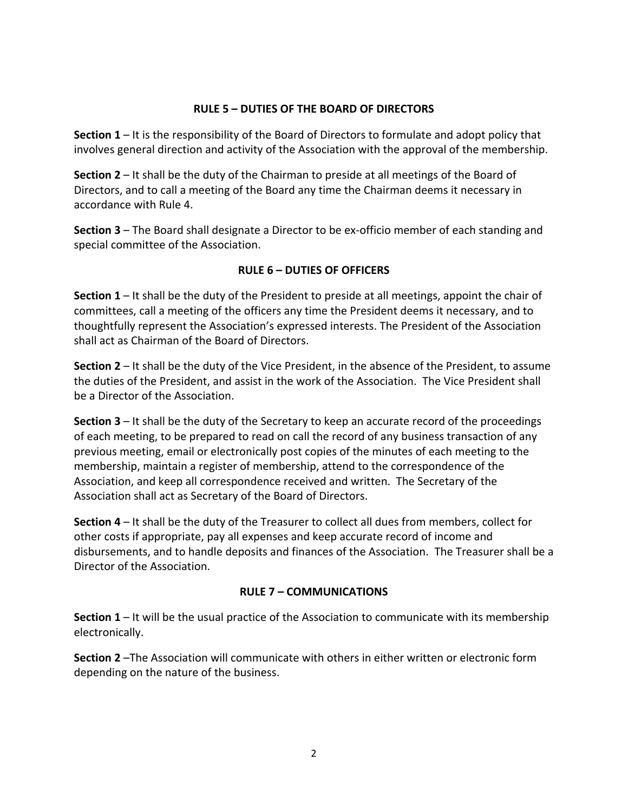## **RULE 5 – DUTIES OF THE BOARD OF DIRECTORS**

**Section 1** – It is the responsibility of the Board of Directors to formulate and adopt policy that involves general direction and activity of the Association with the approval of the membership.

**Section 2** – It shall be the duty of the Chairman to preside at all meetings of the Board of Directors, and to call a meeting of the Board any time the Chairman deems it necessary in accordance with Rule 4.

**Section 3** – The Board shall designate a Director to be ex‐officio member of each standing and special committee of the Association.

# **RULE 6 – DUTIES OF OFFICERS**

**Section 1** – It shall be the duty of the President to preside at all meetings, appoint the chair of committees, call a meeting of the officers any time the President deems it necessary, and to thoughtfully represent the Association's expressed interests. The President of the Association shall act as Chairman of the Board of Directors.

**Section 2** – It shall be the duty of the Vice President, in the absence of the President, to assume the duties of the President, and assist in the work of the Association. The Vice President shall be a Director of the Association.

**Section 3** – It shall be the duty of the Secretary to keep an accurate record of the proceedings of each meeting, to be prepared to read on call the record of any business transaction of any previous meeting, email or electronically post copies of the minutes of each meeting to the membership, maintain a register of membership, attend to the correspondence of the Association, and keep all correspondence received and written. The Secretary of the Association shall act as Secretary of the Board of Directors.

**Section 4** – It shall be the duty of the Treasurer to collect all dues from members, collect for other costs if appropriate, pay all expenses and keep accurate record of income and disbursements, and to handle deposits and finances of the Association. The Treasurer shall be a Director of the Association.

# **RULE 7 – COMMUNICATIONS**

**Section 1** – It will be the usual practice of the Association to communicate with its membership electronically.

**Section 2** –The Association will communicate with others in either written or electronic form depending on the nature of the business.